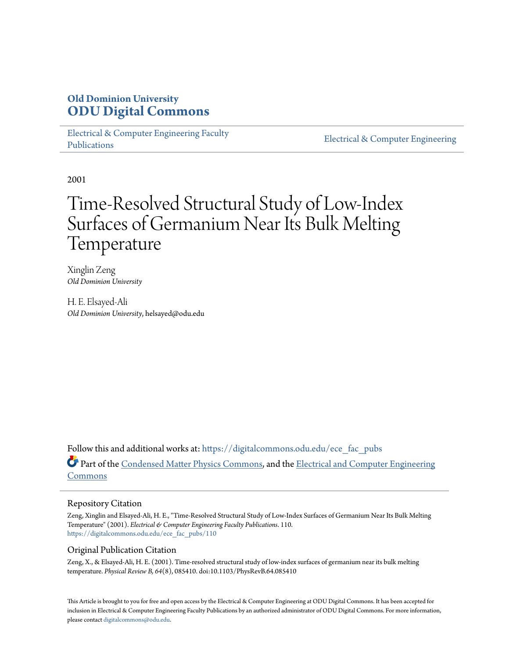# **Old Dominion University [ODU Digital Commons](https://digitalcommons.odu.edu?utm_source=digitalcommons.odu.edu%2Fece_fac_pubs%2F110&utm_medium=PDF&utm_campaign=PDFCoverPages)**

[Electrical & Computer Engineering Faculty](https://digitalcommons.odu.edu/ece_fac_pubs?utm_source=digitalcommons.odu.edu%2Fece_fac_pubs%2F110&utm_medium=PDF&utm_campaign=PDFCoverPages) [Publications](https://digitalcommons.odu.edu/ece_fac_pubs?utm_source=digitalcommons.odu.edu%2Fece_fac_pubs%2F110&utm_medium=PDF&utm_campaign=PDFCoverPages)

[Electrical & Computer Engineering](https://digitalcommons.odu.edu/ece?utm_source=digitalcommons.odu.edu%2Fece_fac_pubs%2F110&utm_medium=PDF&utm_campaign=PDFCoverPages)

2001

# Time-Resolved Structural Study of Low-Index Surfaces of Germanium Near Its Bulk Melting **Temperature**

Xinglin Zeng *Old Dominion University*

H. E. Elsayed-Ali *Old Dominion University*, helsayed@odu.edu

Follow this and additional works at: [https://digitalcommons.odu.edu/ece\\_fac\\_pubs](https://digitalcommons.odu.edu/ece_fac_pubs?utm_source=digitalcommons.odu.edu%2Fece_fac_pubs%2F110&utm_medium=PDF&utm_campaign=PDFCoverPages) Part of the [Condensed Matter Physics Commons,](http://network.bepress.com/hgg/discipline/197?utm_source=digitalcommons.odu.edu%2Fece_fac_pubs%2F110&utm_medium=PDF&utm_campaign=PDFCoverPages) and the [Electrical and Computer Engineering](http://network.bepress.com/hgg/discipline/266?utm_source=digitalcommons.odu.edu%2Fece_fac_pubs%2F110&utm_medium=PDF&utm_campaign=PDFCoverPages) [Commons](http://network.bepress.com/hgg/discipline/266?utm_source=digitalcommons.odu.edu%2Fece_fac_pubs%2F110&utm_medium=PDF&utm_campaign=PDFCoverPages)

# Repository Citation

Zeng, Xinglin and Elsayed-Ali, H. E., "Time-Resolved Structural Study of Low-Index Surfaces of Germanium Near Its Bulk Melting Temperature" (2001). *Electrical & Computer Engineering Faculty Publications*. 110. [https://digitalcommons.odu.edu/ece\\_fac\\_pubs/110](https://digitalcommons.odu.edu/ece_fac_pubs/110?utm_source=digitalcommons.odu.edu%2Fece_fac_pubs%2F110&utm_medium=PDF&utm_campaign=PDFCoverPages)

# Original Publication Citation

Zeng, X., & Elsayed-Ali, H. E. (2001). Time-resolved structural study of low-index surfaces of germanium near its bulk melting temperature. *Physical Review B, 64*(8), 085410. doi:10.1103/PhysRevB.64.085410

This Article is brought to you for free and open access by the Electrical & Computer Engineering at ODU Digital Commons. It has been accepted for inclusion in Electrical & Computer Engineering Faculty Publications by an authorized administrator of ODU Digital Commons. For more information, please contact [digitalcommons@odu.edu](mailto:digitalcommons@odu.edu).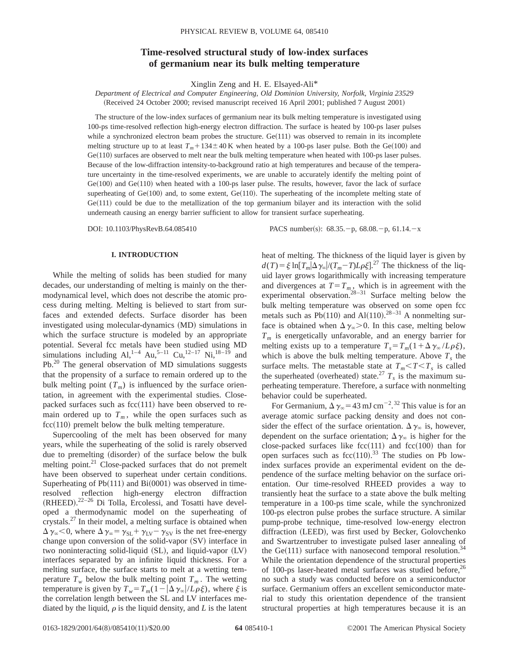# **Time-resolved structural study of low-index surfaces of germanium near its bulk melting temperature**

Xinglin Zeng and H. E. Elsayed-Ali\*

*Department of Electrical and Computer Engineering, Old Dominion University, Norfolk, Virginia 23529* (Received 24 October 2000; revised manuscript received 16 April 2001; published 7 August 2001)

The structure of the low-index surfaces of germanium near its bulk melting temperature is investigated using 100-ps time-resolved reflection high-energy electron diffraction. The surface is heated by 100-ps laser pulses while a synchronized electron beam probes the structure.  $Ge(111)$  was observed to remain in its incomplete melting structure up to at least  $T_m$  + 134  $\pm$  40 K when heated by a 100-ps laser pulse. Both the Ge(100) and  $Ge(110)$  surfaces are observed to melt near the bulk melting temperature when heated with 100-ps laser pulses. Because of the low-diffraction intensity-to-background ratio at high temperatures and because of the temperature uncertainty in the time-resolved experiments, we are unable to accurately identify the melting point of  $Ge(100)$  and  $Ge(110)$  when heated with a 100-ps laser pulse. The results, however, favor the lack of surface superheating of  $Ge(100)$  and, to some extent,  $Ge(110)$ . The superheating of the incomplete melting state of  $Ge(111)$  could be due to the metallization of the top germanium bilayer and its interaction with the solid underneath causing an energy barrier sufficient to allow for transient surface superheating.

DOI: 10.1103/PhysRevB.64.085410 PACS number(s): 68.35. - p, 68.08. - p, 61.14. - x

#### **I. INTRODUCTION**

While the melting of solids has been studied for many decades, our understanding of melting is mainly on the thermodynamical level, which does not describe the atomic process during melting. Melting is believed to start from surfaces and extended defects. Surface disorder has been investigated using molecular-dynamics (MD) simulations in which the surface structure is modeled by an appropriate potential. Several fcc metals have been studied using MD simulations including Al,<sup>1-4</sup> Au,<sup>5-11</sup> Cu,<sup>12-17</sup> Ni,<sup>18-19</sup> and Pb.<sup>20</sup> The general observation of MD simulations suggests that the propensity of a surface to remain ordered up to the bulk melting point  $(T_m)$  is influenced by the surface orientation, in agreement with the experimental studies. Closepacked surfaces such as  $fcc(111)$  have been observed to remain ordered up to  $T_m$ , while the open surfaces such as  $fcc(110)$  premelt below the bulk melting temperature.

Supercooling of the melt has been observed for many years, while the superheating of the solid is rarely observed due to premelting (disorder) of the surface below the bulk melting point. $^{21}$  Close-packed surfaces that do not premelt have been observed to superheat under certain conditions. Superheating of  $Pb(111)$  and  $Bi(0001)$  was observed in timeresolved reflection high-energy electron diffraction (RHEED).<sup>22-26</sup> Di Tolla, Ercolessi, and Tosatti have developed a thermodynamic model on the superheating of crystals.27 In their model, a melting surface is obtained when  $\Delta \gamma_{\infty}$  < 0, where  $\Delta \gamma_{\infty} = \gamma_{SL} + \gamma_{LV} - \gamma_{SV}$  is the net free-energy change upon conversion of the solid-vapor  $(SV)$  interface in two noninteracting solid-liquid  $(S<sub>L</sub>)$ , and liquid-vapor  $(L<sub>V</sub>)$ interfaces separated by an infinite liquid thickness. For a melting surface, the surface starts to melt at a wetting temperature  $T_w$  below the bulk melting point  $T_m$ . The wetting temperature is given by  $T_w = T_m(1 - |\Delta \gamma_\infty|/L \rho \xi)$ , where  $\xi$  is the correlation length between the SL and LV interfaces mediated by the liquid,  $\rho$  is the liquid density, and  $L$  is the latent

heat of melting. The thickness of the liquid layer is given by  $d(T) = \xi \ln[T_m] \Delta \gamma_{\infty} / (T_m - T) L \rho \xi].^{27}$  The thickness of the liquid layer grows logarithmically with increasing temperature and divergences at  $T=T_m$ , which is in agreement with the experimental observation.<sup>28–31</sup> Surface melting below the bulk melting temperature was observed on some open fcc metals such as Pb $(110)$  and Al $(110)$ .<sup>28–31</sup> A nonmelting surface is obtained when  $\Delta \gamma_{\infty} > 0$ . In this case, melting below *Tm* is energetically unfavorable, and an energy barrier for melting exists up to a temperature  $T_s = T_m(1 + \Delta \gamma_\infty / L \rho \xi)$ , which is above the bulk melting temperature. Above  $T<sub>s</sub>$  the surface melts. The metastable state at  $T_m < T < T_s$  is called the superheated (overheated) state.<sup>27</sup>  $T_s$  is the maximum superheating temperature. Therefore, a surface with nonmelting behavior could be superheated.

For Germanium,  $\Delta \gamma_{\infty} = 43 \text{ mJ cm}^{-2}$ .<sup>32</sup> This value is for an average atomic surface packing density and does not consider the effect of the surface orientation.  $\Delta \gamma_{\infty}$  is, however, dependent on the surface orientation;  $\Delta \gamma_{\infty}$  is higher for the close-packed surfaces like  $fcc(111)$  and  $fcc(100)$  than for open surfaces such as  $fcc(110).^{33}$  The studies on Pb lowindex surfaces provide an experimental evident on the dependence of the surface melting behavior on the surface orientation. Our time-resolved RHEED provides a way to transiently heat the surface to a state above the bulk melting temperature in a 100-ps time scale, while the synchronized 100-ps electron pulse probes the surface structure. A similar pump-probe technique, time-resolved low-energy electron diffraction (LEED), was first used by Becker, Golovchenko and Swartzentruber to investigate pulsed laser annealing of the Ge $(111)$  surface with nanosecond temporal resolution.<sup>34</sup> While the orientation dependence of the structural properties of 100-ps laser-heated metal surfaces was studied before,  $26$ no such a study was conducted before on a semiconductor surface. Germanium offers an excellent semiconductor material to study this orientation dependence of the transient structural properties at high temperatures because it is an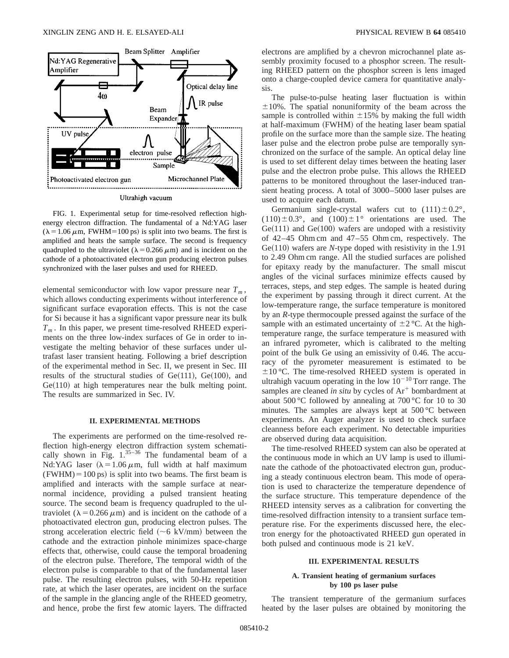

Ultrahigh vacuum

FIG. 1. Experimental setup for time-resolved reflection highenergy electron diffraction. The fundamental of a Nd:YAG laser  $(\lambda = 1.06 \,\mu \text{m}, \text{FWHM} = 100 \,\text{ps})$  is split into two beams. The first is amplified and heats the sample surface. The second is frequency quadrupled to the ultraviolet ( $\lambda = 0.266 \mu$ m) and is incident on the cathode of a photoactivated electron gun producing electron pulses synchronized with the laser pulses and used for RHEED.

elemental semiconductor with low vapor pressure near  $T_m$ , which allows conducting experiments without interference of significant surface evaporation effects. This is not the case for Si because it has a significant vapor pressure near its bulk  $T_m$ . In this paper, we present time-resolved RHEED experiments on the three low-index surfaces of Ge in order to investigate the melting behavior of these surfaces under ultrafast laser transient heating. Following a brief description of the experimental method in Sec. II, we present in Sec. III results of the structural studies of  $Ge(111)$ ,  $Ge(100)$ , and  $Ge(110)$  at high temperatures near the bulk melting point. The results are summarized in Sec. IV.

#### **II. EXPERIMENTAL METHODS**

The experiments are performed on the time-resolved reflection high-energy electron diffraction system schematically shown in Fig.  $1^{35-36}$  The fundamental beam of a Nd:YAG laser ( $\lambda = 1.06 \mu$ m, full width at half maximum  $(FWHM) = 100 \text{ ps}$ ) is split into two beams. The first beam is amplified and interacts with the sample surface at nearnormal incidence, providing a pulsed transient heating source. The second beam is frequency quadrupled to the ultraviolet ( $\lambda$ =0.266  $\mu$ m) and is incident on the cathode of a photoactivated electron gun, producing electron pulses. The strong acceleration electric field  $({\sim}6 \text{ kV/mm})$  between the cathode and the extraction pinhole minimizes space-charge effects that, otherwise, could cause the temporal broadening of the electron pulse. Therefore, The temporal width of the electron pulse is comparable to that of the fundamental laser pulse. The resulting electron pulses, with 50-Hz repetition rate, at which the laser operates, are incident on the surface of the sample in the glancing angle of the RHEED geometry, and hence, probe the first few atomic layers. The diffracted

electrons are amplified by a chevron microchannel plate assembly proximity focused to a phosphor screen. The resulting RHEED pattern on the phosphor screen is lens imaged onto a charge-coupled device camera for quantitative analysis.

The pulse-to-pulse heating laser fluctuation is within  $\pm 10\%$ . The spatial nonuniformity of the beam across the sample is controlled within  $\pm 15\%$  by making the full width at half-maximum (FWHM) of the heating laser beam spatial profile on the surface more than the sample size. The heating laser pulse and the electron probe pulse are temporally synchronized on the surface of the sample. An optical delay line is used to set different delay times between the heating laser pulse and the electron probe pulse. This allows the RHEED patterns to be monitored throughout the laser-induced transient heating process. A total of 3000–5000 laser pulses are used to acquire each datum.

Germanium single-crystal wafers cut to  $(111) \pm 0.2^{\circ}$ ,  $(110) \pm 0.3^{\circ}$ , and  $(100) \pm 1^{\circ}$  orientations are used. The  $Ge(111)$  and  $Ge(100)$  wafers are undoped with a resistivity of 42–45 Ohm cm and 47–55 Ohm cm, respectively. The  $Ge(110)$  wafers are *N*-type doped with resistivity in the 1.91 to 2.49 Ohm cm range. All the studied surfaces are polished for epitaxy ready by the manufacturer. The small miscut angles of the vicinal surfaces minimize effects caused by terraces, steps, and step edges. The sample is heated during the experiment by passing through it direct current. At the low-temperature range, the surface temperature is monitored by an *R*-type thermocouple pressed against the surface of the sample with an estimated uncertainty of  $\pm 2$  °C. At the hightemperature range, the surface temperature is measured with an infrared pyrometer, which is calibrated to the melting point of the bulk Ge using an emissivity of 0.46. The accuracy of the pyrometer measurement is estimated to be  $\pm 10$  °C. The time-resolved RHEED system is operated in ultrahigh vacuum operating in the low  $10^{-10}$  Torr range. The samples are cleaned *in situ* by cycles of  $Ar^+$  bombardment at about 500 °C followed by annealing at 700 °C for 10 to 30 minutes. The samples are always kept at 500 °C between experiments. An Auger analyzer is used to check surface cleanness before each experiment. No detectable impurities are observed during data acquisition.

The time-resolved RHEED system can also be operated at the continuous mode in which an UV lamp is used to illuminate the cathode of the photoactivated electron gun, producing a steady continuous electron beam. This mode of operation is used to characterize the temperature dependence of the surface structure. This temperature dependence of the RHEED intensity serves as a calibration for converting the time-resolved diffraction intensity to a transient surface temperature rise. For the experiments discussed here, the electron energy for the photoactivated RHEED gun operated in both pulsed and continuous mode is 21 keV.

#### **III. EXPERIMENTAL RESULTS**

#### **A. Transient heating of germanium surfaces by 100 ps laser pulse**

The transient temperature of the germanium surfaces heated by the laser pulses are obtained by monitoring the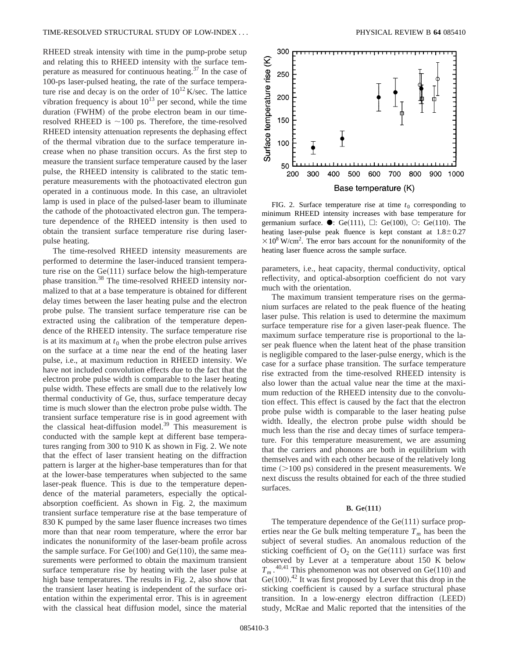RHEED streak intensity with time in the pump-probe setup and relating this to RHEED intensity with the surface temperature as measured for continuous heating.<sup>37</sup> In the case of 100-ps laser-pulsed heating, the rate of the surface temperature rise and decay is on the order of  $10^{12}$  K/sec. The lattice vibration frequency is about  $10^{13}$  per second, while the time duration  $(FWHM)$  of the probe electron beam in our timeresolved RHEED is  $\sim$ 100 ps. Therefore, the time-resolved RHEED intensity attenuation represents the dephasing effect of the thermal vibration due to the surface temperature increase when no phase transition occurs. As the first step to measure the transient surface temperature caused by the laser pulse, the RHEED intensity is calibrated to the static temperature measurements with the photoactivated electron gun operated in a continuous mode. In this case, an ultraviolet lamp is used in place of the pulsed-laser beam to illuminate the cathode of the photoactivated electron gun. The temperature dependence of the RHEED intensity is then used to obtain the transient surface temperature rise during laserpulse heating.

The time-resolved RHEED intensity measurements are performed to determine the laser-induced transient temperature rise on the  $Ge(111)$  surface below the high-temperature phase transition.<sup>38</sup> The time-resolved RHEED intensity normalized to that at a base temperature is obtained for different delay times between the laser heating pulse and the electron probe pulse. The transient surface temperature rise can be extracted using the calibration of the temperature dependence of the RHEED intensity. The surface temperature rise is at its maximum at  $t_0$  when the probe electron pulse arrives on the surface at a time near the end of the heating laser pulse, i.e., at maximum reduction in RHEED intensity. We have not included convolution effects due to the fact that the electron probe pulse width is comparable to the laser heating pulse width. These effects are small due to the relatively low thermal conductivity of Ge, thus, surface temperature decay time is much slower than the electron probe pulse width. The transient surface temperature rise is in good agreement with the classical heat-diffusion model.<sup>39</sup> This measurement is conducted with the sample kept at different base temperatures ranging from 300 to 910 K as shown in Fig. 2. We note that the effect of laser transient heating on the diffraction pattern is larger at the higher-base temperatures than for that at the lower-base temperatures when subjected to the same laser-peak fluence. This is due to the temperature dependence of the material parameters, especially the opticalabsorption coefficient. As shown in Fig. 2, the maximum transient surface temperature rise at the base temperature of 830 K pumped by the same laser fluence increases two times more than that near room temperature, where the error bar indicates the nonuniformity of the laser-beam profile across the sample surface. For  $Ge(100)$  and  $Ge(110)$ , the same measurements were performed to obtain the maximum transient surface temperature rise by heating with the laser pulse at high base temperatures. The results in Fig. 2, also show that the transient laser heating is independent of the surface orientation within the experimental error. This is in agreement with the classical heat diffusion model, since the material



FIG. 2. Surface temperature rise at time  $t_0$  corresponding to minimum RHEED intensity increases with base temperature for germanium surface.  $\bullet$ : Ge(111),  $\Box$ : Ge(100),  $\Diamond$ : Ge(110). The heating laser-pulse peak fluence is kept constant at  $1.8 \pm 0.27$  $\times$  10<sup>8</sup> W/cm<sup>2</sup>. The error bars account for the nonuniformity of the heating laser fluence across the sample surface.

parameters, i.e., heat capacity, thermal conductivity, optical reflectivity, and optical-absorption coefficient do not vary much with the orientation.

The maximum transient temperature rises on the germanium surfaces are related to the peak fluence of the heating laser pulse. This relation is used to determine the maximum surface temperature rise for a given laser-peak fluence. The maximum surface temperature rise is proportional to the laser peak fluence when the latent heat of the phase transition is negligible compared to the laser-pulse energy, which is the case for a surface phase transition. The surface temperature rise extracted from the time-resolved RHEED intensity is also lower than the actual value near the time at the maximum reduction of the RHEED intensity due to the convolution effect. This effect is caused by the fact that the electron probe pulse width is comparable to the laser heating pulse width. Ideally, the electron probe pulse width should be much less than the rise and decay times of surface temperature. For this temperature measurement, we are assuming that the carriers and phonons are both in equilibrium with themselves and with each other because of the relatively long time  $(>100 \text{ ps})$  considered in the present measurements. We next discuss the results obtained for each of the three studied surfaces.

#### **B.** Ge(111)

The temperature dependence of the  $Ge(111)$  surface properties near the Ge bulk melting temperature  $T_m$  has been the subject of several studies. An anomalous reduction of the sticking coefficient of  $O_2$  on the Ge(111) surface was first observed by Lever at a temperature about 150 K below  $T_m$ .<sup>40,41</sup> This phenomenon was not observed on Ge(110) and  $Ge(100).$ <sup>42</sup> It was first proposed by Lever that this drop in the sticking coefficient is caused by a surface structural phase transition. In a low-energy electron diffraction (LEED) study, McRae and Malic reported that the intensities of the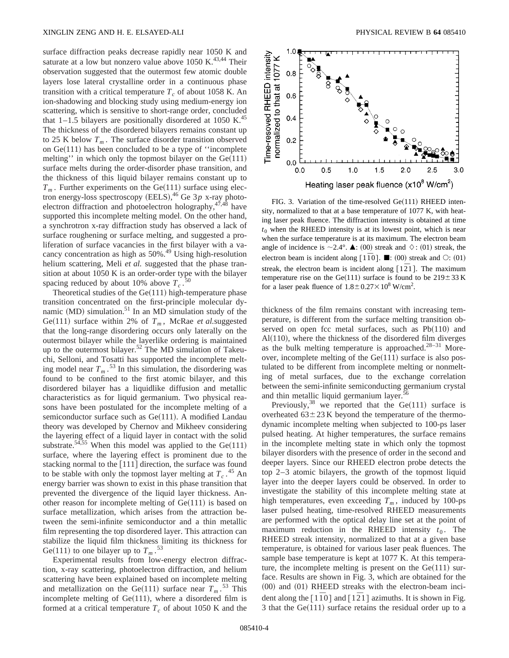surface diffraction peaks decrease rapidly near 1050 K and saturate at a low but nonzero value above 1050 K. $^{43,44}$  Their observation suggested that the outermost few atomic double layers lose lateral crystalline order in a continuous phase transition with a critical temperature  $T_c$  of about 1058 K. An ion-shadowing and blocking study using medium-energy ion scattering, which is sensitive to short-range order, concluded that  $1-1.5$  bilayers are positionally disordered at 1050 K.<sup>45</sup> The thickness of the disordered bilayers remains constant up to 25 K below  $T_m$ . The surface disorder transition observed on  $Ge(111)$  has been concluded to be a type of "incomplete" melting'' in which only the topmost bilayer on the  $Ge(111)$ surface melts during the order-disorder phase transition, and the thickness of this liquid bilayer remains constant up to  $T_m$ . Further experiments on the Ge(111) surface using electron energy-loss spectroscopy (EELS),<sup>46</sup> Ge 3p x-ray photoelectron diffraction and photoelectron holography, $47,48$  have supported this incomplete melting model. On the other hand, a synchrotron x-ray diffraction study has observed a lack of surface roughening or surface melting, and suggested a proliferation of surface vacancies in the first bilayer with a vacancy concentration as high as 50%.<sup>49</sup> Using high-resolution helium scattering, Meli et al. suggested that the phase transition at about 1050 K is an order-order type with the bilayer spacing reduced by about 10% above  $T_c$ . 50

Theoretical studies of the  $Ge(111)$  high-temperature phase transition concentrated on the first-principle molecular dynamic (MD) simulation.<sup>51</sup> In an MD simulation study of the Ge(111) surface within 2% of  $T_m$ , McRae *et al.* suggested that the long-range disordering occurs only laterally on the outermost bilayer while the layerlike ordering is maintained up to the outermost bilayer.<sup>52</sup> The MD simulation of Takeuchi, Selloni, and Tosatti has supported the incomplete melting model near  $T_m$ .<sup>53</sup> In this simulation, the disordering was found to be confined to the first atomic bilayer, and this disordered bilayer has a liquidlike diffusion and metallic characteristics as for liquid germanium. Two physical reasons have been postulated for the incomplete melting of a semiconductor surface such as  $Ge(111)$ . A modified Landau theory was developed by Chernov and Mikheev considering the layering effect of a liquid layer in contact with the solid substrate.<sup>54,55</sup> When this model was applied to the  $Ge(111)$ surface, where the layering effect is prominent due to the stacking normal to the  $[111]$  direction, the surface was found to be stable with only the topmost layer melting at  $T_c$ .<sup>45</sup> An energy barrier was shown to exist in this phase transition that prevented the divergence of the liquid layer thickness. Another reason for incomplete melting of  $Ge(111)$  is based on surface metallization, which arises from the attraction between the semi-infinite semiconductor and a thin metallic film representing the top disordered layer. This attraction can stabilize the liquid film thickness limiting its thickness for Ge(111) to one bilayer up to  $T_m$ .<sup>53</sup>

Experimental results from low-energy electron diffraction, x-ray scattering, photoelectron diffraction, and helium scattering have been explained based on incomplete melting and metallization on the Ge $(111)$  surface near  $T_m$ .<sup>53</sup> This incomplete melting of  $Ge(111)$ , where a disordered film is formed at a critical temperature  $T_c$  of about 1050 K and the



FIG. 3. Variation of the time-resolved  $Ge(111)$  RHEED intensity, normalized to that at a base temperature of 1077 K, with heating laser peak fluence. The diffraction intensity is obtained at time  $t_0$  when the RHEED intensity is at its lowest point, which is near when the surface temperature is at its maximum. The electron beam angle of incidence is  $\sim$  2.4°.  $\blacktriangle$ : (00) streak and  $\Diamond$ : (01) streak, the electron beam is incident along  $[1\overline{1}0]$ .  $\blacksquare$ :  $(00)$  streak and  $\bigcirc$ :  $(01)$ streak, the electron beam is incident along  $\lceil 1\bar{2}1 \rceil$ . The maximum temperature rise on the Ge(111) surface is found to be  $219 \pm 33$  K for a laser peak fluence of  $1.8 \pm 0.27 \times 10^8$  W/cm<sup>2</sup>.

thickness of the film remains constant with increasing temperature, is different from the surface melting transition observed on open fcc metal surfaces, such as  $Pb(110)$  and  $Al(110)$ , where the thickness of the disordered film diverges as the bulk melting temperature is approached.<sup>28-31</sup> Moreover, incomplete melting of the  $Ge(111)$  surface is also postulated to be different from incomplete melting or nonmelting of metal surfaces, due to the exchange correlation between the semi-infinite semiconducting germanium crystal and thin metallic liquid germanium layer. $5<sup>6</sup>$ 

Previously,<sup>38</sup> we reported that the  $Ge(111)$  surface is overheated  $63 \pm 23$  K beyond the temperature of the thermodynamic incomplete melting when subjected to 100-ps laser pulsed heating. At higher temperatures, the surface remains in the incomplete melting state in which only the topmost bilayer disorders with the presence of order in the second and deeper layers. Since our RHEED electron probe detects the top 2–3 atomic bilayers, the growth of the topmost liquid layer into the deeper layers could be observed. In order to investigate the stability of this incomplete melting state at high temperatures, even exceeding  $T_m$ , induced by 100-ps laser pulsed heating, time-resolved RHEED measurements are performed with the optical delay line set at the point of maximum reduction in the RHEED intensity  $t_0$ . The RHEED streak intensity, normalized to that at a given base temperature, is obtained for various laser peak fluences. The sample base temperature is kept at 1077 K. At this temperature, the incomplete melting is present on the  $Ge(111)$  surface. Results are shown in Fig. 3, which are obtained for the  $(00)$  and  $(01)$  RHEED streaks with the electron-beam incident along the  $\lceil 1\overline{1}0 \rceil$  and  $\lceil 1\overline{2}1 \rceil$  azimuths. It is shown in Fig. 3 that the  $Ge(111)$  surface retains the residual order up to a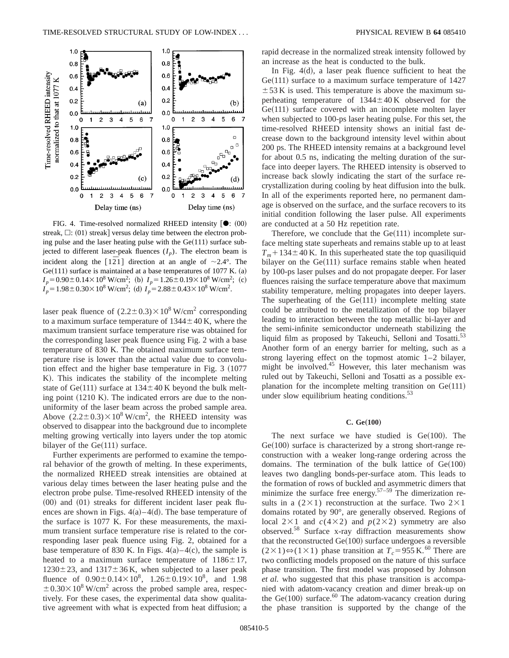

FIG. 4. Time-resolved normalized RHEED intensity  $[①: (00)]$ streak,  $\Box$ : (01) streak] versus delay time between the electron probing pulse and the laser heating pulse with the  $Ge(111)$  surface subjected to different laser-peak fluences  $(I_p)$ . The electron beam is incident along the  $\lceil 1\overline{2}1 \rceil$  direction at an angle of  $\sim 2.4^\circ$ . The  $Ge(111)$  surface is maintained at a base temperatures of 1077 K. (a)  $I_p = 0.90 \pm 0.14 \times 10^8$  W/cm<sup>2</sup>; (b)  $I_p = 1.26 \pm 0.19 \times 10^8$  W/cm<sup>2</sup>; (c)  $I_p = 1.98 \pm 0.30 \times 10^8$  W/cm<sup>2</sup>; (d)  $I_p = 2.88 \pm 0.43 \times 10^8$  W/cm<sup>2</sup>.

laser peak fluence of  $(2.2 \pm 0.3) \times 10^8$  W/cm<sup>2</sup> corresponding to a maximum surface temperature of  $1344 \pm 40$  K, where the maximum transient surface temperature rise was obtained for the corresponding laser peak fluence using Fig. 2 with a base temperature of 830 K. The obtained maximum surface temperature rise is lower than the actual value due to convolution effect and the higher base temperature in Fig.  $3~(1077)$ K). This indicates the stability of the incomplete melting state of Ge $(111)$  surface at  $134 \pm 40$  K beyond the bulk melting point  $(1210 \text{ K})$ . The indicated errors are due to the nonuniformity of the laser beam across the probed sample area. Above  $(2.2 \pm 0.3) \times 10^8$  W/cm<sup>2</sup>, the RHEED intensity was observed to disappear into the background due to incomplete melting growing vertically into layers under the top atomic bilayer of the  $Ge(111)$  surface.

Further experiments are performed to examine the temporal behavior of the growth of melting. In these experiments, the normalized RHEED streak intensities are obtained at various delay times between the laser heating pulse and the electron probe pulse. Time-resolved RHEED intensity of the  $(00)$  and  $(01)$  streaks for different incident laser peak fluences are shown in Figs.  $4(a) - 4(d)$ . The base temperature of the surface is 1077 K. For these measurements, the maximum transient surface temperature rise is related to the corresponding laser peak fluence using Fig. 2, obtained for a base temperature of 830 K. In Figs.  $4(a) - 4(c)$ , the sample is heated to a maximum surface temperature of  $1186 \pm 17$ ,  $1230 \pm 23$ , and  $1317 \pm 36$  K, when subjected to a laser peak fluence of  $0.90 \pm 0.14 \times 10^8$ ,  $1.26 \pm 0.19 \times 10^8$ , and 1.98  $\pm$  0.30 $\times$ 10<sup>8</sup> W/cm<sup>2</sup> across the probed sample area, respectively. For these cases, the experimental data show qualitative agreement with what is expected from heat diffusion; a rapid decrease in the normalized streak intensity followed by an increase as the heat is conducted to the bulk.

In Fig.  $4(d)$ , a laser peak fluence sufficient to heat the  $Ge(111)$  surface to a maximum surface temperature of 1427  $\pm$  53 K is used. This temperature is above the maximum superheating temperature of  $1344 \pm 40$  K observed for the  $Ge(111)$  surface covered with an incomplete molten layer when subjected to 100-ps laser heating pulse. For this set, the time-resolved RHEED intensity shows an initial fast decrease down to the background intensity level within about 200 ps. The RHEED intensity remains at a background level for about 0.5 ns, indicating the melting duration of the surface into deeper layers. The RHEED intensity is observed to increase back slowly indicating the start of the surface recrystallization during cooling by heat diffusion into the bulk. In all of the experiments reported here, no permanent damage is observed on the surface, and the surface recovers to its initial condition following the laser pulse. All experiments are conducted at a 50 Hz repetition rate.

Therefore, we conclude that the  $Ge(111)$  incomplete surface melting state superheats and remains stable up to at least  $T_m$  + 134 $\pm$ 40 K. In this superheated state the top quasiliquid bilayer on the  $Ge(111)$  surface remains stable when heated by 100-ps laser pulses and do not propagate deeper. For laser fluences raising the surface temperature above that maximum stability temperature, melting propagates into deeper layers. The superheating of the  $Ge(111)$  incomplete melting state could be attributed to the metallization of the top bilayer leading to interaction between the top metallic bi-layer and the semi-infinite semiconductor underneath stabilizing the liquid film as proposed by Takeuchi, Selloni and Tosatti.<sup>53</sup> Another form of an energy barrier for melting, such as a strong layering effect on the topmost atomic 1–2 bilayer, might be involved. $45$  However, this later mechanism was ruled out by Takeuchi, Selloni and Tosatti as a possible explanation for the incomplete melting transition on  $Ge(111)$ under slow equilibrium heating conditions. $53$ 

#### $C. Ge(100)$

The next surface we have studied is  $Ge(100)$ . The  $Ge(100)$  surface is characterized by a strong short-range reconstruction with a weaker long-range ordering across the domains. The termination of the bulk lattice of  $Ge(100)$ leaves two dangling bonds-per-surface atom. This leads to the formation of rows of buckled and asymmetric dimers that minimize the surface free energy.<sup>57–59</sup> The dimerization results in a  $(2\times1)$  reconstruction at the surface. Two  $2\times1$ domains rotated by 90°, are generally observed. Regions of local  $2\times1$  and  $c(4\times2)$  and  $p(2\times2)$  symmetry are also observed.58 Surface x-ray diffraction measurements show that the reconstructed  $Ge(100)$  surface undergoes a reversible  $(2\times1) \Leftrightarrow (1\times1)$  phase transition at  $T_c = 955$  K.<sup>60</sup> There are two conflicting models proposed on the nature of this surface phase transition. The first model was proposed by Johnson *et al.* who suggested that this phase transition is accompanied with adatom-vacancy creation and dimer break-up on the  $Ge(100)$  surface.<sup>60</sup> The adatom-vacancy creation during the phase transition is supported by the change of the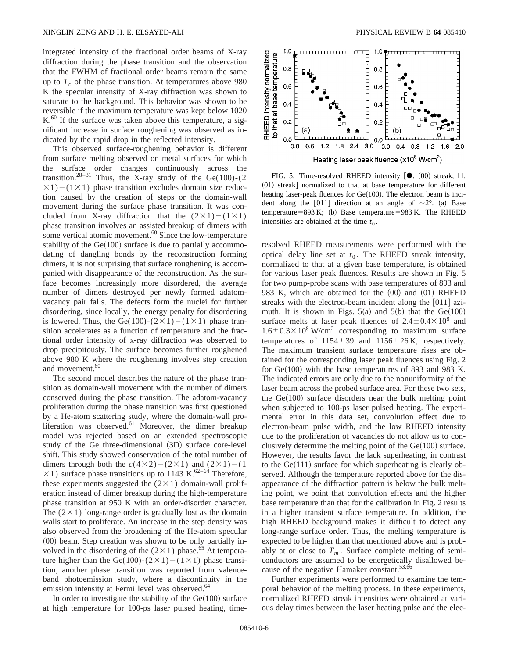integrated intensity of the fractional order beams of X-ray diffraction during the phase transition and the observation that the FWHM of fractional order beams remain the same up to  $T_c$  of the phase transition. At temperatures above 980 K the specular intensity of X-ray diffraction was shown to saturate to the background. This behavior was shown to be reversible if the maximum temperature was kept below 1020  $K<sup>60</sup>$  If the surface was taken above this temperature, a significant increase in surface roughening was observed as indicated by the rapid drop in the reflected intensity.

This observed surface-roughening behavior is different from surface melting observed on metal surfaces for which the surface order changes continuously across the transition.<sup>28–31</sup> Thus, the X-ray study of the Ge(100)-(2  $\times$ 1) – (1 $\times$ 1) phase transition excludes domain size reduction caused by the creation of steps or the domain-wall movement during the surface phase transition. It was concluded from X-ray diffraction that the  $(2\times1)-(1\times1)$ phase transition involves an assisted breakup of dimers with some vertical atomic movement.<sup>60</sup> Since the low-temperature stability of the  $Ge(100)$  surface is due to partially accommodating of dangling bonds by the reconstruction forming dimers, it is not surprising that surface roughening is accompanied with disappearance of the reconstruction. As the surface becomes increasingly more disordered, the average number of dimers destroyed per newly formed adatomvacancy pair falls. The defects form the nuclei for further disordering, since locally, the energy penalty for disordering is lowered. Thus, the Ge(100)-( $2\times1$ ) –( $1\times1$ ) phase transition accelerates as a function of temperature and the fractional order intensity of x-ray diffraction was observed to drop precipitously. The surface becomes further roughened above 980 K where the roughening involves step creation and movement.<sup>60</sup>

The second model describes the nature of the phase transition as domain-wall movement with the number of dimers conserved during the phase transition. The adatom-vacancy proliferation during the phase transition was first questioned by a He-atom scattering study, where the domain-wall proliferation was observed.<sup>61</sup> Moreover, the dimer breakup model was rejected based on an extended spectroscopic study of the Ge three-dimensional (3D) surface core-level shift. This study showed conservation of the total number of dimers through both the  $c(4\times2)-(2\times1)$  and  $(2\times1)-(1)$  $\times$ 1) surface phase transitions up to 1143 K.<sup>62–64</sup> Therefore, these experiments suggested the  $(2\times1)$  domain-wall proliferation instead of dimer breakup during the high-temperature phase transition at 950 K with an order-disorder character. The  $(2\times1)$  long-range order is gradually lost as the domain walls start to proliferate. An increase in the step density was also observed from the broadening of the He-atom specular  $(00)$  beam. Step creation was shown to be only partially involved in the disordering of the  $(2\times1)$  phase.<sup>65</sup> At temperature higher than the Ge(100)-( $2\times1$ ) –( $1\times1$ ) phase transition, another phase transition was reported from valenceband photoemission study, where a discontinuity in the emission intensity at Fermi level was observed.<sup>64</sup>

In order to investigate the stability of the  $Ge(100)$  surface at high temperature for 100-ps laser pulsed heating, time-



FIG. 5. Time-resolved RHEED intensity  $\lceil \bullet \rceil$ : (00) streak,  $\Box$ :  $(01)$  streak] normalized to that at base temperature for different heating laser-peak fluences for  $Ge(100)$ . The electron beam is incident along the [011] direction at an angle of  $\sim 2^{\circ}$ . (a) Base temperature=893 K; (b) Base temperature=983 K. The RHEED intensities are obtained at the time  $t_0$ .

resolved RHEED measurements were performed with the optical delay line set at  $t_0$ . The RHEED streak intensity, normalized to that at a given base temperature, is obtained for various laser peak fluences. Results are shown in Fig. 5 for two pump-probe scans with base temperatures of 893 and 983 K, which are obtained for the  $(00)$  and  $(01)$  RHEED streaks with the electron-beam incident along the  $[011]$  azimuth. It is shown in Figs.  $5(a)$  and  $5(b)$  that the Ge $(100)$ surface melts at laser peak fluences of  $2.4 \pm 0.4 \times 10^8$  and  $1.6\pm0.3\times10^8$  W/cm<sup>2</sup> corresponding to maximum surface temperatures of  $1154 \pm 39$  and  $1156 \pm 26$  K, respectively. The maximum transient surface temperature rises are obtained for the corresponding laser peak fluences using Fig. 2 for  $Ge(100)$  with the base temperatures of 893 and 983 K. The indicated errors are only due to the nonuniformity of the laser beam across the probed surface area. For these two sets, the  $Ge(100)$  surface disorders near the bulk melting point when subjected to 100-ps laser pulsed heating. The experimental error in this data set, convolution effect due to electron-beam pulse width, and the low RHEED intensity due to the proliferation of vacancies do not allow us to conclusively determine the melting point of the  $Ge(100)$  surface. However, the results favor the lack superheating, in contrast to the  $Ge(111)$  surface for which superheating is clearly observed. Although the temperature reported above for the disappearance of the diffraction pattern is below the bulk melting point, we point that convolution effects and the higher base temperature than that for the calibration in Fig. 2 results in a higher transient surface temperature. In addition, the high RHEED background makes it difficult to detect any long-range surface order. Thus, the melting temperature is expected to be higher than that mentioned above and is probably at or close to  $T_m$ . Surface complete melting of semiconductors are assumed to be energetically disallowed because of the negative Hamaker constant.<sup>53,66</sup>

Further experiments were performed to examine the temporal behavior of the melting process. In these experiments, normalized RHEED streak intensities were obtained at various delay times between the laser heating pulse and the elec-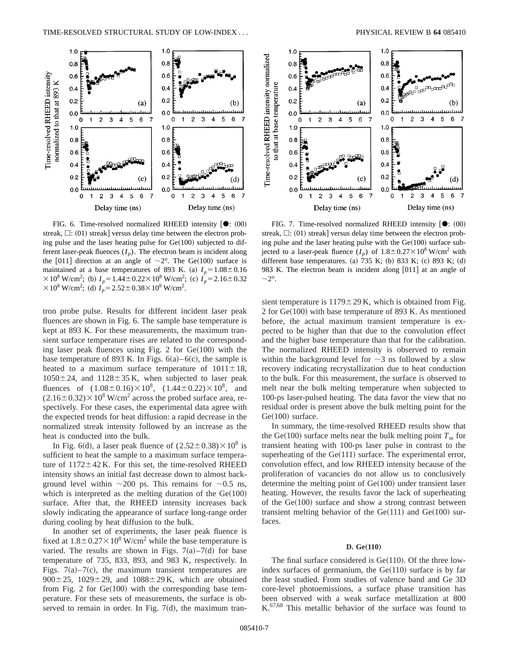

FIG. 6. Time-resolved normalized RHEED intensity  $[①: (00)]$ streak,  $\Box$ : (01) streak] versus delay time between the electron probing pulse and the laser heating pulse for  $Ge(100)$  subjected to different laser-peak fluences  $(I_n)$ . The electron beam is incident along the [011] direction at an angle of  $\sim$ 2°. The Ge(100) surface is maintained at a base temperatures of 893 K. (a)  $I_p = 1.08 \pm 0.16$  $\times$  10<sup>8</sup> W/cm<sup>2</sup>; (b)  $I_p = 1.44 \pm 0.22 \times 10^8$  W/cm<sup>2</sup>; (c)  $I_p = 2.16 \pm 0.32$  $\times$  10<sup>8</sup> W/cm<sup>2</sup>; (d)  $I_p = 2.52 \pm 0.38 \times 10^8$  W/cm<sup>2</sup>.

tron probe pulse. Results for different incident laser peak fluences are shown in Fig. 6. The sample base temperature is kept at 893 K. For these measurements, the maximum transient surface temperature rises are related to the corresponding laser peak fluences using Fig. 2 for  $Ge(100)$  with the base temperature of 893 K. In Figs.  $6(a) - 6(c)$ , the sample is heated to a maximum surface temperature of  $1011 \pm 18$ ,  $1050 \pm 24$ , and  $1128 \pm 35$  K, when subjected to laser peak fluences of  $(1.08\pm0.16)\times10^8$ ,  $(1.44\pm0.22)\times10^8$ , and  $(2.16\pm0.32)\times10^8$  W/cm<sup>2</sup> across the probed surface area, respectively. For these cases, the experimental data agree with the expected trends for heat diffusion: a rapid decrease in the normalized streak intensity followed by an increase as the heat is conducted into the bulk.

In Fig. 6(d), a laser peak fluence of  $(2.52 \pm 0.38) \times 10^8$  is sufficient to heat the sample to a maximum surface temperature of  $1172 \pm 42$  K. For this set, the time-resolved RHEED intensity shows an initial fast decrease down to almost background level within  $\sim 200$  ps. This remains for  $\sim 0.5$  ns, which is interpreted as the melting duration of the  $Ge(100)$ surface. After that, the RHEED intensity increases back slowly indicating the appearance of surface long-range order during cooling by heat diffusion to the bulk.

In another set of experiments, the laser peak fluence is fixed at  $1.8 \pm 0.27 \times 10^8$  W/cm<sup>2</sup> while the base temperature is varied. The results are shown in Figs.  $7(a) - 7(d)$  for base temperature of 735, 833, 893, and 983 K, respectively. In Figs.  $7(a) - 7(c)$ , the maximum transient temperatures are  $900 \pm 25$ ,  $1029 \pm 29$ , and  $1088 \pm 29$  K, which are obtained from Fig. 2 for  $Ge(100)$  with the corresponding base temperature. For these sets of measurements, the surface is observed to remain in order. In Fig.  $7(d)$ , the maximum tran-



FIG. 7. Time-resolved normalized RHEED intensity  $[①: (00)]$ streak,  $\Box$ : (01) streak] versus delay time between the electron probing pulse and the laser heating pulse with the  $Ge(100)$  surface subjected to a laser-peak fluence  $(I_n)$  of  $1.8 \pm 0.27 \times 10^8$  W/cm<sup>2</sup> with different base temperatures. (a)  $735$  K; (b) 833 K; (c) 893 K; (d) 983 K. The electron beam is incident along  $[011]$  at an angle of  $\sim$ 2°.

sient temperature is  $1179 \pm 29$  K, which is obtained from Fig. 2 for  $Ge(100)$  with base temperature of 893 K. As mentioned before, the actual maximum transient temperature is expected to be higher than that due to the convolution effect and the higher base temperature than that for the calibration. The normalized RHEED intensity is observed to remain within the background level for  $\sim$ 3 ns followed by a slow recovery indicating recrystallization due to heat conduction to the bulk. For this measurement, the surface is observed to melt near the bulk melting temperature when subjected to 100-ps laser-pulsed heating. The data favor the view that no residual order is present above the bulk melting point for the  $Ge(100)$  surface.

In summary, the time-resolved RHEED results show that the Ge(100) surface melts near the bulk melting point  $T_m$  for transient heating with 100-ps laser pulse in contrast to the superheating of the  $Ge(111)$  surface. The experimental error, convolution effect, and low RHEED intensity because of the proliferation of vacancies do not allow us to conclusively determine the melting point of  $Ge(100)$  under transient laser heating. However, the results favor the lack of superheating of the  $Ge(100)$  surface and show a strong contrast between transient melting behavior of the  $Ge(111)$  and  $Ge(100)$  surfaces.

#### **D.** Ge(110)

The final surface considered is  $Ge(110)$ . Of the three lowindex surfaces of germanium, the  $Ge(110)$  surface is by far the least studied. From studies of valence band and Ge 3D core-level photoemissions, a surface phase transition has been observed with a weak surface metallization at 800  $K<sup>67,68</sup>$  This metallic behavior of the surface was found to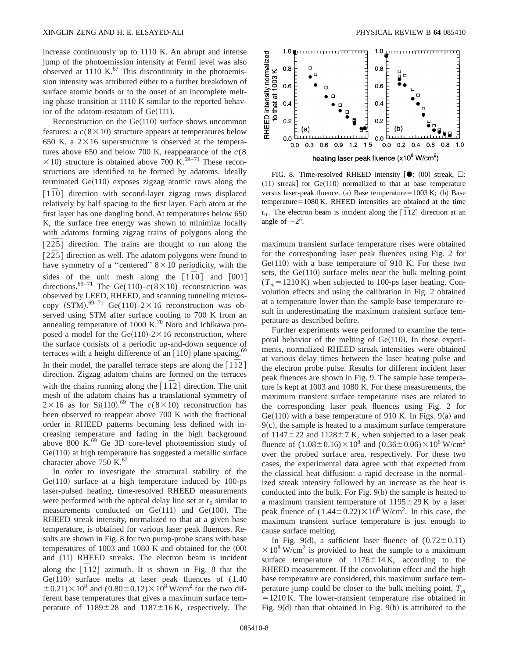increase continuously up to 1110 K. An abrupt and intense jump of the photoemission intensity at Fermi level was also observed at 1110 K. $^{67}$  This discontinuity in the photoemission intensity was attributed either to a further breakdown of surface atomic bonds or to the onset of an incomplete melting phase transition at 1110 K similar to the reported behavior of the adatom-restatom of  $Ge(111)$ .

Reconstruction on the  $Ge(110)$  surface shows uncommon features: a  $c(8 \times 10)$  structure appears at temperatures below 650 K, a  $2 \times 16$  superstructure is observed at the temperatures above 650 and below 700 K, reappearance of the  $c(8)$  $\times$ 10) structure is obtained above 700 K.<sup>69–71</sup> These reconstructions are identified to be formed by adatoms. Ideally terminated  $Ge(110)$  exposes zigzag atomic rows along the  $\lceil 1\bar{1}0 \rceil$  direction with second-layer zigzag rows displaced relatively by half spacing to the first layer. Each atom at the first layer has one dangling bond. At temperatures below 650 K, the surface free energy was shown to minimize locally with adatoms forming zigzag trains of polygons along the  $\left[2\overline{25}\right]$  direction. The trains are thought to run along the  $[2\overline{2}5]$  direction as well. The adatom polygons were found to have symmetry of a "centered"  $8 \times 10$  periodicity, with the sides of the unit mesh along the  $[1\bar{1}0]$  and  $[001]$ directions.<sup>69–71</sup> The Ge(110)- $c(8\times10)$  reconstruction was observed by LEED, RHEED, and scanning tunneling microscopy  $(STM)$ .<sup>69–71</sup> Ge(110)-2×16 reconstruction was observed using STM after surface cooling to 700 K from an annealing temperature of 1000 K.<sup>70</sup> Noro and Ichikawa proposed a model for the Ge $(110)$ -2 $\times$ 16 reconstruction, where the surface consists of a periodic up-and-down sequence of terraces with a height difference of an  $[110]$  plane spacing.<sup>69</sup> In their model, the parallel terrace steps are along the  $\lceil 1\bar{1}2 \rceil$ direction. Zigzag adatom chains are formed on the terraces with the chains running along the  $\lceil 1 \rceil 2 \rceil$  direction. The unit mesh of the adatom chains has a translational symmetry of  $2 \times 16$  as for Si(110).<sup>69</sup> The  $c(8 \times 10)$  reconstruction has been observed to reappear above 700 K with the fractional order in RHEED patterns becoming less defined with increasing temperature and fading in the high background above  $800 \text{ K}^{.69}$  Ge 3D core-level photoemission study of  $Ge(110)$  at high temperature has suggested a metallic surface character above 750 K. $^{67}$ 

In order to investigate the structural stability of the  $Ge(110)$  surface at a high temperature induced by 100-ps laser-pulsed heating, time-resolved RHEED measurements were performed with the optical delay line set at  $t_0$  similar to measurements conducted on  $Ge(111)$  and  $Ge(100)$ . The RHEED streak intensity, normalized to that at a given base temperature, is obtained for various laser peak fluences. Results are shown in Fig. 8 for two pump-probe scans with base temperatures of  $1003$  and  $1080$  K and obtained for the  $(00)$ and (11) RHEED streaks. The electron beam is incident along the  $\overline{[112]}$  azimuth. It is shown in Fig. 8 that the  $Ge(110)$  surface melts at laser peak fluences of  $(1.40)$  $\pm 0.21$ ) $\times$  10<sup>8</sup> and (0.80 $\pm$ 0.12) $\times$ 10<sup>8</sup> W/cm<sup>2</sup> for the two different base temperatures that gives a maximum surface temperature of  $1189 \pm 28$  and  $1187 \pm 16$  K, respectively. The



FIG. 8. Time-resolved RHEED intensity  $\left[ \bullet : (00) \right]$  streak,  $\square$ :  $(11)$  streak] for Ge $(110)$  normalized to that at base temperature versus laser-peak fluence. (a) Base temperature= $1003 K$ ; (b) Base  $temperature=1080$  K. RHEED intensities are obtained at the time  $t_0$ . The electron beam is incident along the  $\overline{[}12\overline{]}$  direction at an angle of  $\sim$ 2°.

maximum transient surface temperature rises were obtained for the corresponding laser peak fluences using Fig. 2 for  $Ge(110)$  with a base temperature of 910 K. For these two sets, the  $Ge(110)$  surface melts near the bulk melting point  $(T_m=1210 \text{ K})$  when subjected to 100-ps laser heating. Convolution effects and using the calibration in Fig. 2 obtained at a temperature lower than the sample-base temperature result in underestimating the maximum transient surface temperature as described before.

Further experiments were performed to examine the temporal behavior of the melting of  $Ge(110)$ . In these experiments, normalized RHEED streak intensities were obtained at various delay times between the laser heating pulse and the electron probe pulse. Results for different incident laser peak fluences are shown in Fig. 9. The sample base temperature is kept at 1003 and 1080 K. For these measurements, the maximum transient surface temperature rises are related to the corresponding laser peak fluences using Fig. 2 for  $Ge(110)$  with a base temperature of 910 K. In Figs. 9(a) and  $9(c)$ , the sample is heated to a maximum surface temperature of  $1147 \pm 22$  and  $1128 \pm 7$  K, when subjected to a laser peak fluence of  $(1.08\pm0.16)\times10^8$  and  $(0.36\pm0.06)\times10^8$  W/cm<sup>2</sup> over the probed surface area, respectively. For these two cases, the experimental data agree with that expected from the classical heat diffusion: a rapid decrease in the normalized streak intensity followed by an increase as the heat is conducted into the bulk. For Fig.  $9(b)$  the sample is heated to a maximum transient temperature of  $1195 \pm 29$  K by a laser peak fluence of  $(1.44 \pm 0.22) \times 10^8$  W/cm<sup>2</sup>. In this case, the maximum transient surface temperature is just enough to cause surface melting.

In Fig. 9(d), a sufficient laser fluence of  $(0.72 \pm 0.11)$  $\times$ 10<sup>8</sup> W/cm<sup>2</sup> is provided to heat the sample to a maximum surface temperature of  $1176 \pm 14$  K, according to the RHEED measurement. If the convolution effect and the high base temperature are considered, this maximum surface temperature jump could be closer to the bulk melting point,  $T_m$  $=1210$  K. The lower-transient temperature rise obtained in Fig.  $9(d)$  than that obtained in Fig.  $9(b)$  is attributed to the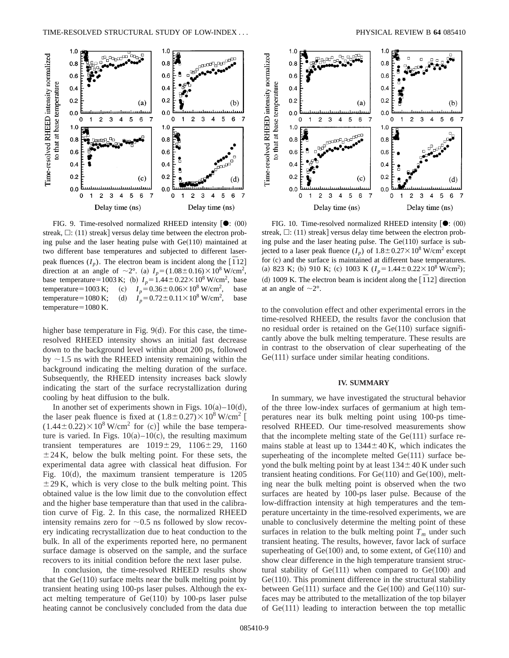

FIG. 9. Time-resolved normalized RHEED intensity  $[①: (00)]$ streak,  $\Box$ : (11) streak] versus delay time between the electron probing pulse and the laser heating pulse with  $Ge(110)$  maintained at two different base temperatures and subjected to different laserpeak fluences  $(I_p)$ . The electron beam is incident along the  $\left[\overline{1}12\right]$ direction at an angle of  $\sim 2^{\circ}$ . (a)  $I_p = (1.08 \pm 0.16) \times 10^8$  W/cm<sup>2</sup>, base temperature=1003 K; (b)  $I_p = 1.44 \pm 0.22 \times 10^8$  W/cm<sup>2</sup>, base temperature=1003 K; (c)  $I_p = 0.36 \pm 0.06 \times 10^8$  W/cm<sup>2</sup>, , base temperature=1080 K; (d)  $I_p = 0.72 \pm 0.11 \times 10^8$  W/cm<sup>2</sup>, , base temperature $=1080$  K.

higher base temperature in Fig.  $9(d)$ . For this case, the timeresolved RHEED intensity shows an initial fast decrease down to the background level within about 200 ps, followed by  $\sim$ 1.5 ns with the RHEED intensity remaining within the background indicating the melting duration of the surface. Subsequently, the RHEED intensity increases back slowly indicating the start of the surface recrystallization during cooling by heat diffusion to the bulk.

In another set of experiments shown in Figs.  $10(a) - 10(d)$ , the laser peak fluence is fixed at  $(1.8\pm0.27)\times10^8$  W/cm<sup>2</sup> [  $(1.44\pm0.22)\times10^8$  W/cm<sup>2</sup> for (c)] while the base temperature is varied. In Figs.  $10(a) - 10(c)$ , the resulting maximum transient temperatures are  $1019 \pm 29$ ,  $1106 \pm 29$ ,  $1160$  $\pm$  24 K, below the bulk melting point. For these sets, the experimental data agree with classical heat diffusion. For Fig.  $10(d)$ , the maximum transient temperature is  $1205$  $\pm$  29 K, which is very close to the bulk melting point. This obtained value is the low limit due to the convolution effect and the higher base temperature than that used in the calibration curve of Fig. 2. In this case, the normalized RHEED intensity remains zero for  $\sim 0.5$  ns followed by slow recovery indicating recrystallization due to heat conduction to the bulk. In all of the experiments reported here, no permanent surface damage is observed on the sample, and the surface recovers to its initial condition before the next laser pulse.

In conclusion, the time-resolved RHEED results show that the  $Ge(110)$  surface melts near the bulk melting point by transient heating using 100-ps laser pulses. Although the exact melting temperature of  $Ge(110)$  by 100-ps laser pulse heating cannot be conclusively concluded from the data due



FIG. 10. Time-resolved normalized RHEED intensity  $\left[ \bullet : (00) \right]$ streak,  $\Box$ : (11) streak] versus delay time between the electron probing pulse and the laser heating pulse. The  $Ge(110)$  surface is subjected to a laser peak fluence  $(I_p)$  of  $1.8 \pm 0.27 \times 10^8$  W/cm<sup>2</sup> except for (c) and the surface is maintained at different base temperatures. (a) 823 K; (b) 910 K; (c) 1003 K  $(I_p = 1.44 \pm 0.22 \times 10^8 \text{ W/cm}^2)$ ; (d) 1009 K. The electron beam is incident along the  $\left[ \overline{1} 12 \right]$  direction at an angle of  $\sim$ 2°.

to the convolution effect and other experimental errors in the time-resolved RHEED, the results favor the conclusion that no residual order is retained on the  $Ge(110)$  surface significantly above the bulk melting temperature. These results are in contrast to the observation of clear superheating of the  $Ge(111)$  surface under similar heating conditions.

#### **IV. SUMMARY**

In summary, we have investigated the structural behavior of the three low-index surfaces of germanium at high temperatures near its bulk melting point using 100-ps timeresolved RHEED. Our time-resolved measurements show that the incomplete melting state of the  $Ge(111)$  surface remains stable at least up to  $1344 \pm 40$  K, which indicates the superheating of the incomplete melted  $Ge(111)$  surface beyond the bulk melting point by at least  $134 \pm 40$  K under such transient heating conditions. For  $Ge(110)$  and  $Ge(100)$ , melting near the bulk melting point is observed when the two surfaces are heated by 100-ps laser pulse. Because of the low-diffraction intensity at high temperatures and the temperature uncertainty in the time-resolved experiments, we are unable to conclusively determine the melting point of these surfaces in relation to the bulk melting point  $T_m$  under such transient heating. The results, however, favor lack of surface superheating of  $Ge(100)$  and, to some extent, of  $Ge(110)$  and show clear difference in the high temperature transient structural stability of  $Ge(111)$  when compared to  $Ge(100)$  and  $Ge(110)$ . This prominent difference in the structural stability between  $Ge(111)$  surface and the  $Ge(100)$  and  $Ge(110)$  surfaces may be attributed to the metallization of the top bilayer of  $Ge(111)$  leading to interaction between the top metallic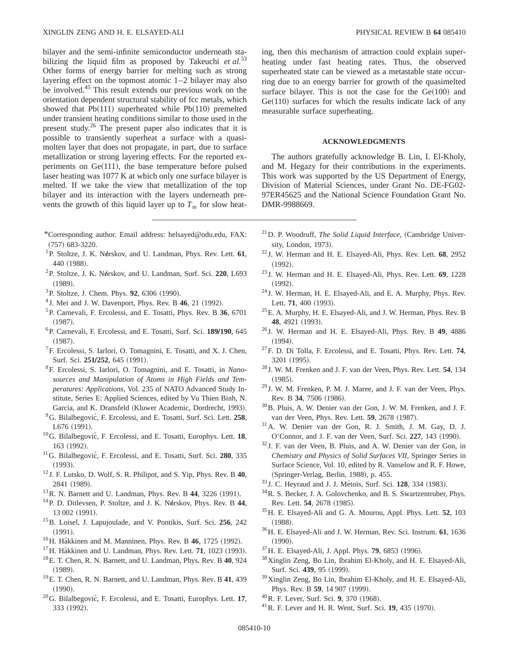bilayer and the semi-infinite semiconductor underneath stabilizing the liquid film as proposed by Takeuchi *et al.*<sup>53</sup> Other forms of energy barrier for melting such as strong layering effect on the topmost atomic 1–2 bilayer may also be involved.<sup>45</sup> This result extends our previous work on the orientation dependent structural stability of fcc metals, which showed that  $Pb(111)$  superheated while  $Pb(110)$  premelted under transient heating conditions similar to those used in the present study.26 The present paper also indicates that it is possible to transiently superheat a surface with a quasimolten layer that does not propagate, in part, due to surface metallization or strong layering effects. For the reported experiments on  $Ge(111)$ , the base temperature before pulsed laser heating was 1077 K at which only one surface bilayer is melted. If we take the view that metallization of the top bilayer and its interaction with the layers underneath prevents the growth of this liquid layer up to  $T_m$  for slow heat-

- \*Corresponding author. Email address: helsayed@odu.edu, FAX:  $(757)$  683-3220.
- <sup>1</sup>P. Stoltze, J. K. Nørskov, and U. Landman, Phys. Rev. Lett. 61, 440 (1988).
- <sup>2</sup>P. Stoltze, J. K. Nørskov, and U. Landman, Surf. Sci. 220, L693  $(1989).$
- <sup>3</sup>P. Stoltze, J. Chem. Phys. **92**, 6306 (1990).
- $4$  J. Mei and J. W. Davenport, Phys. Rev. B  $46$ , 21 (1992).
- 5P. Carnevali, F. Ercolessi, and E. Tosatti, Phys. Rev. B **36**, 6701  $(1987).$
- <sup>6</sup>P. Carnevali, F. Ercolessi, and E. Tosatti, Surf. Sci. 189/190, 645  $(1987).$
- ${}^{7}$ F. Ercolessi, S. Iarlori, O. Tomagnini, E. Tosatti, and X. J. Chen, Surf. Sci. 251/252, 645 (1991).
- 8F. Ercolessi, S. Iarlori, O. Tomagnini, and E. Tosatti, in *Nanosources and Manipulation of Atoms in High Fields and Temperatures: Applications*, Vol. 235 of NATO Advanced Study Institute, Series E: Applied Sciences, edited by Vu Thien Binh, N. Garcia, and K. Dransfeld (Kluwer Academic, Dordrecht, 1993).
- <sup>9</sup>G. Bilalbegović, F. Ercolessi, and E. Tosatti, Surf. Sci. Lett. 258,  $L676 (1991).$
- <sup>10</sup>G. Bilalbegović, F. Ercolessi, and E. Tosatti, Europhys. Lett. **18**, 163 (1992).
- <sup>11</sup>G. Bilalbegović, F. Ercolessi, and E. Tosatti, Surf. Sci. 280, 335  $(1993).$
- <sup>12</sup> J. F. Lutsko, D. Wolf, S. R. Philipot, and S. Yip, Phys. Rev. B **40**, 2841 (1989).
- $13R$ . N. Barnett and U. Landman, Phys. Rev. B  $44$ , 3226  $(1991)$ .
- <sup>14</sup>P. D. Ditlevsen, P. Stoltze, and J. K. Nørskov, Phys. Rev. B 44, 13 002 (1991).
- 15B. Loisel, J. Lapujoulade, and V. Pontikis, Surf. Sci. **256**, 242  $(1991).$
- <sup>16</sup>H. Häkkinen and M. Manninen, Phys. Rev. B 46, 1725 (1992).
- $17$ H. Häkkinen and U. Landman, Phys. Rev. Lett. **71**, 1023 (1993).
- 18E. T. Chen, R. N. Barnett, and U. Landman, Phys. Rev. B **40**, 924  $(1989).$
- 19E. T. Chen, R. N. Barnett, and U. Landman, Phys. Rev. B **41**, 439  $(1990).$
- <sup>20</sup>G. Bilalbegović, F. Ercolessi, and E. Tosatti, Europhys. Lett. **17**, 333 (1992).

ing, then this mechanism of attraction could explain superheating under fast heating rates. Thus, the observed superheated state can be viewed as a metastable state occurring due to an energy barrier for growth of the quasimelted surface bilayer. This is not the case for the  $Ge(100)$  and  $Ge(110)$  surfaces for which the results indicate lack of any measurable surface superheating.

### **ACKNOWLEDGMENTS**

The authors gratefully acknowledge B. Lin, I. El-Kholy, and M. Hegazy for their contributions in the experiments. This work was supported by the US Department of Energy, Division of Material Sciences, under Grant No. DE-FG02- 97ER45625 and the National Science Foundation Grant No. DMR-9988669.

- $^{21}$ D. P. Woodruff, *The Solid Liquid Interface*, (Cambridge University, London, 1973).
- <sup>22</sup> J. W. Herman and H. E. Elsayed-Ali, Phys. Rev. Lett. **68**, 2952  $(1992).$
- <sup>23</sup> J. W. Herman and H. E. Elsayed-Ali, Phys. Rev. Lett. **69**, 1228  $(1992).$
- <sup>24</sup> J. W. Herman, H. E. Elsayed-Ali, and E. A. Murphy, Phys. Rev. Lett. 71, 400 (1993).
- $^{25}$ E. A. Murphy, H. E. Elsayed-Ali, and J. W. Herman, Phys. Rev. B 48, 4921 (1993).
- <sup>26</sup> J. W. Herman and H. E. Elsayed-Ali, Phys. Rev. B **49**, 4886  $(1994).$
- 27F. D. Di Tolla, F. Ercolessi, and E. Tosatti, Phys. Rev. Lett. **74**, 3201 (1995).
- <sup>28</sup> J. W. M. Frenken and J. F. van der Veen, Phys. Rev. Lett. **54**, 134  $(1985).$
- <sup>29</sup> J. W. M. Frenken, P. M. J. Maree, and J. F. van der Veen, Phys. Rev. B 34, 7506 (1986).
- 30B. Pluis, A. W. Denier van der Gon, J. W. M. Frenken, and J. F. van der Veen, Phys. Rev. Lett. **59**, 2678 (1987).
- 31A. W. Denier van der Gon, R. J. Smith, J. M. Gay, D. J. O'Connor, and J. F. van der Veen, Surf. Sci. 227, 143 (1990).
- <sup>32</sup> J. F. van der Veen, B. Pluis, and A. W. Denier van der Gon, in *Chemistry and Physics of Solid Surfaces VII*, Springer Series in Surface Science, Vol. 10, edited by R. Vanselow and R. F. Howe, (Springer-Verlag, Berlin, 1988), p. 455.
- <sup>33</sup> J. C. Heyraud and J. J. Métois, Surf. Sci. 128, 334 (1983).
- 34R. S. Becker, J. A. Golovchenko, and B. S. Swartzentruber, Phys. Rev. Lett. 54, 2678 (1985).
- 35H. E. Elsayed-Ali and G. A. Mourou, Appl. Phys. Lett. **52**, 103  $(1988).$
- 36H. E. Elsayed-Ali and J. W. Herman, Rev. Sci. Instrum. **61**, 1636  $(1990).$
- <sup>37</sup> H. E. Elsayed-Ali, J. Appl. Phys. **79**, 6853 (1996).
- 38Xinglin Zeng, Bo Lin, Ibrahim El-Kholy, and H. E. Elsayed-Ali, Surf. Sci. 439, 95 (1999).
- 39Xinglin Zeng, Bo Lin, Ibrahim El-Kholy, and H. E. Elsayed-Ali, Phys. Rev. B 59, 14 907 (1999).
- <sup>40</sup>R. F. Lever, Surf. Sci. 9, 370 (1968).
- <sup>41</sup> R. F. Lever and H. R. Went, Surf. Sci. **19**, 435 (1970).